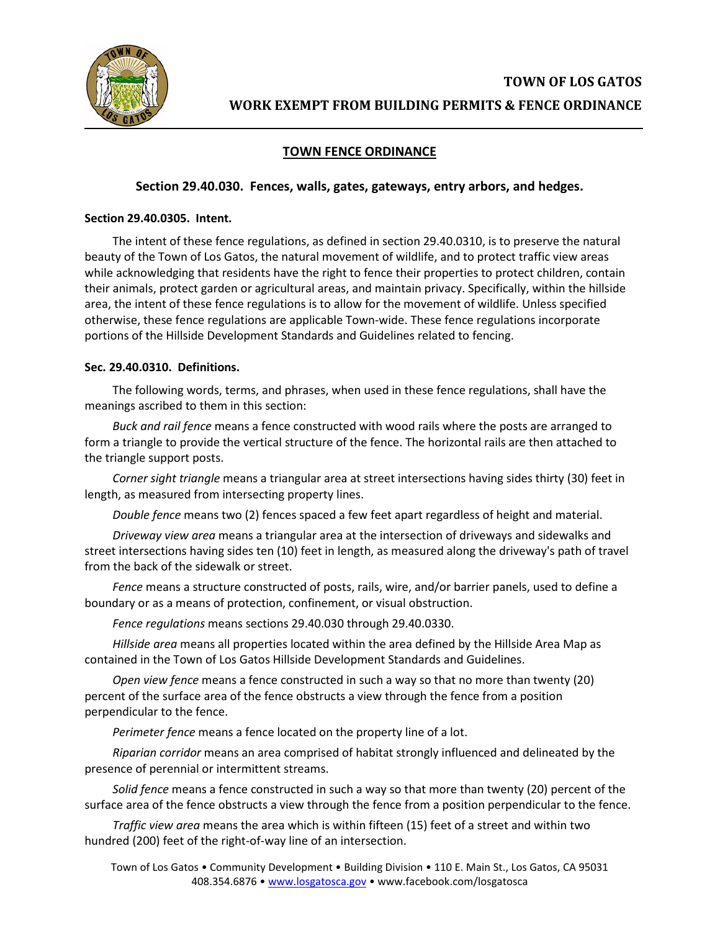

# **TOWN FENCE ORDINANCE**

## **Section 29.40.030. Fences, walls, gates, gateways, entry arbors, and hedges.**

## **Section 29.40.0305. Intent.**

The intent of these fence regulations, as defined in section 29.40.0310, is to preserve the natural beauty of the Town of Los Gatos, the natural movement of wildlife, and to protect traffic view areas while acknowledging that residents have the right to fence their properties to protect children, contain their animals, protect garden or agricultural areas, and maintain privacy. Specifically, within the hillside area, the intent of these fence regulations is to allow for the movement of wildlife. Unless specified otherwise, these fence regulations are applicable Town-wide. These fence regulations incorporate portions of the Hillside Development Standards and Guidelines related to fencing.

### **Sec. 29.40.0310. Definitions.**

The following words, terms, and phrases, when used in these fence regulations, shall have the meanings ascribed to them in this section:

*Buck and rail fence* means a fence constructed with wood rails where the posts are arranged to form a triangle to provide the vertical structure of the fence. The horizontal rails are then attached to the triangle support posts.

*Corner sight triangle* means a triangular area at street intersections having sides thirty (30) feet in length, as measured from intersecting property lines.

*Double fence* means two (2) fences spaced a few feet apart regardless of height and material.

*Driveway view area* means a triangular area at the intersection of driveways and sidewalks and street intersections having sides ten (10) feet in length, as measured along the driveway's path of travel from the back of the sidewalk or street.

*Fence* means a structure constructed of posts, rails, wire, and/or barrier panels, used to define a boundary or as a means of protection, confinement, or visual obstruction.

*Fence regulations* means sections 29.40.030 through 29.40.0330.

*Hillside area* means all properties located within the area defined by the Hillside Area Map as contained in the Town of Los Gatos Hillside Development Standards and Guidelines.

*Open view fence* means a fence constructed in such a way so that no more than twenty (20) percent of the surface area of the fence obstructs a view through the fence from a position perpendicular to the fence.

*Perimeter fence* means a fence located on the property line of a lot.

*Riparian corridor* means an area comprised of habitat strongly influenced and delineated by the presence of perennial or intermittent streams.

*Solid fence* means a fence constructed in such a way so that more than twenty (20) percent of the surface area of the fence obstructs a view through the fence from a position perpendicular to the fence.

*Traffic view area* means the area which is within fifteen (15) feet of a street and within two hundred (200) feet of the right-of-way line of an intersection.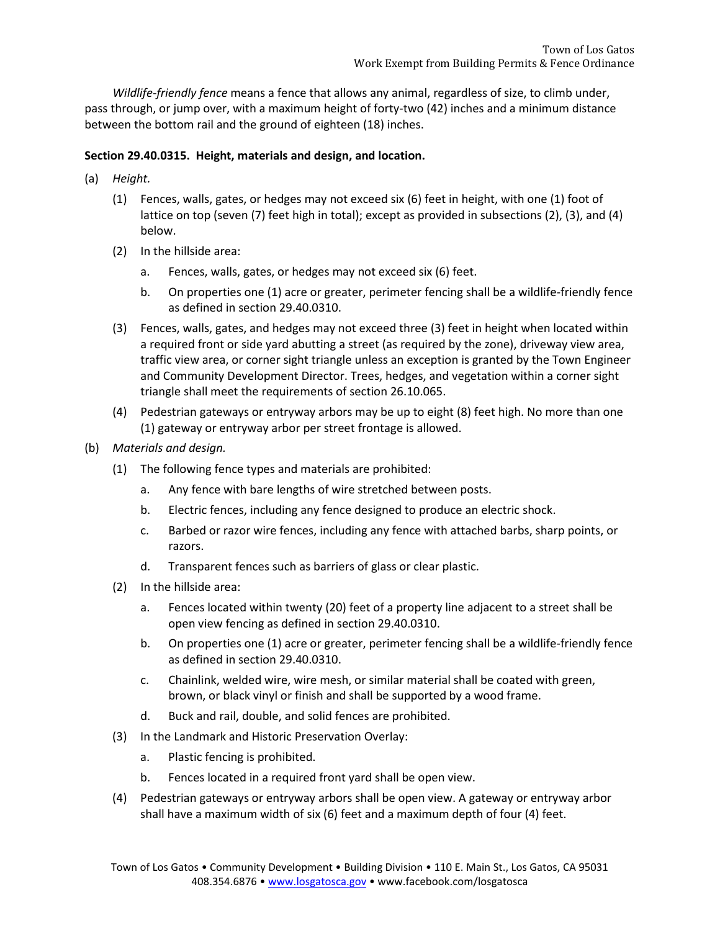*Wildlife-friendly fence* means a fence that allows any animal, regardless of size, to climb under, pass through, or jump over, with a maximum height of forty-two (42) inches and a minimum distance between the bottom rail and the ground of eighteen (18) inches.

## **Section 29.40.0315. Height, materials and design, and location.**

- (a) *Height.*
	- (1) Fences, walls, gates, or hedges may not exceed six (6) feet in height, with one (1) foot of lattice on top (seven (7) feet high in total); except as provided in subsections (2), (3), and (4) below.
	- (2) In the hillside area:
		- a. Fences, walls, gates, or hedges may not exceed six (6) feet.
		- b. On properties one (1) acre or greater, perimeter fencing shall be a wildlife-friendly fence as defined in section 29.40.0310.
	- (3) Fences, walls, gates, and hedges may not exceed three (3) feet in height when located within a required front or side yard abutting a street (as required by the zone), driveway view area, traffic view area, or corner sight triangle unless an exception is granted by the Town Engineer and Community Development Director. Trees, hedges, and vegetation within a corner sight triangle shall meet the requirements of section 26.10.065.
	- (4) Pedestrian gateways or entryway arbors may be up to eight (8) feet high. No more than one (1) gateway or entryway arbor per street frontage is allowed.
- (b) *Materials and design.*
	- (1) The following fence types and materials are prohibited:
		- a. Any fence with bare lengths of wire stretched between posts.
		- b. Electric fences, including any fence designed to produce an electric shock.
		- c. Barbed or razor wire fences, including any fence with attached barbs, sharp points, or razors.
		- d. Transparent fences such as barriers of glass or clear plastic.
	- (2) In the hillside area:
		- a. Fences located within twenty (20) feet of a property line adjacent to a street shall be open view fencing as defined in section 29.40.0310.
		- b. On properties one (1) acre or greater, perimeter fencing shall be a wildlife-friendly fence as defined in section 29.40.0310.
		- c. Chainlink, welded wire, wire mesh, or similar material shall be coated with green, brown, or black vinyl or finish and shall be supported by a wood frame.
		- d. Buck and rail, double, and solid fences are prohibited.
	- (3) In the Landmark and Historic Preservation Overlay:
		- a. Plastic fencing is prohibited.
		- b. Fences located in a required front yard shall be open view.
	- (4) Pedestrian gateways or entryway arbors shall be open view. A gateway or entryway arbor shall have a maximum width of six (6) feet and a maximum depth of four (4) feet.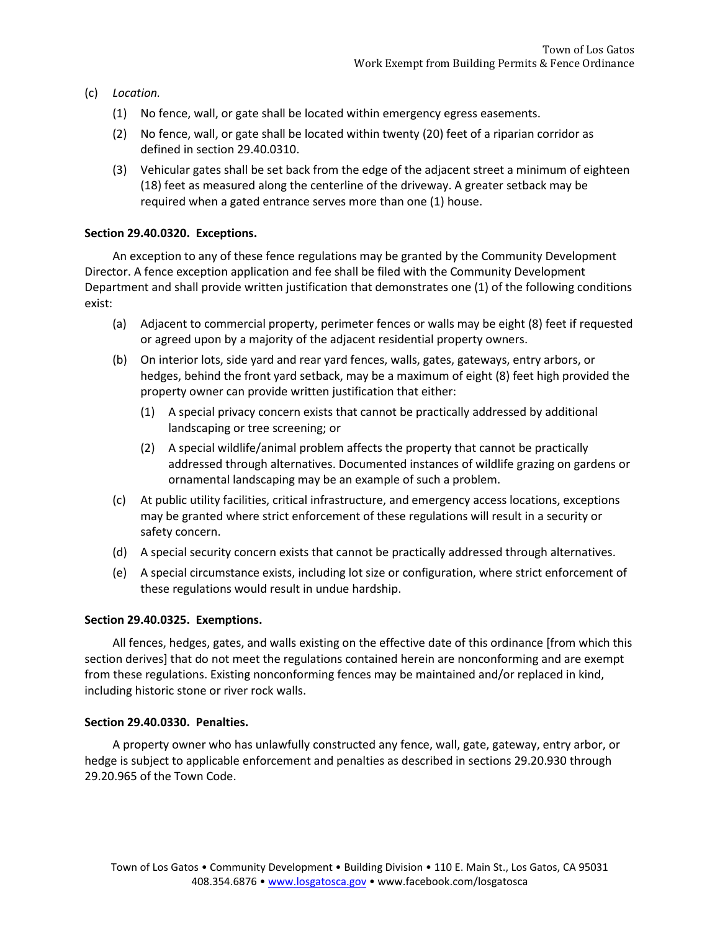- (c) *Location.*
	- (1) No fence, wall, or gate shall be located within emergency egress easements.
	- (2) No fence, wall, or gate shall be located within twenty (20) feet of a riparian corridor as defined in section 29.40.0310.
	- (3) Vehicular gates shall be set back from the edge of the adjacent street a minimum of eighteen (18) feet as measured along the centerline of the driveway. A greater setback may be required when a gated entrance serves more than one (1) house.

### **Section 29.40.0320. Exceptions.**

An exception to any of these fence regulations may be granted by the Community Development Director. A fence exception application and fee shall be filed with the Community Development Department and shall provide written justification that demonstrates one (1) of the following conditions exist:

- (a) Adjacent to commercial property, perimeter fences or walls may be eight (8) feet if requested or agreed upon by a majority of the adjacent residential property owners.
- (b) On interior lots, side yard and rear yard fences, walls, gates, gateways, entry arbors, or hedges, behind the front yard setback, may be a maximum of eight (8) feet high provided the property owner can provide written justification that either:
	- (1) A special privacy concern exists that cannot be practically addressed by additional landscaping or tree screening; or
	- (2) A special wildlife/animal problem affects the property that cannot be practically addressed through alternatives. Documented instances of wildlife grazing on gardens or ornamental landscaping may be an example of such a problem.
- (c) At public utility facilities, critical infrastructure, and emergency access locations, exceptions may be granted where strict enforcement of these regulations will result in a security or safety concern.
- (d) A special security concern exists that cannot be practically addressed through alternatives.
- (e) A special circumstance exists, including lot size or configuration, where strict enforcement of these regulations would result in undue hardship.

#### **Section 29.40.0325. Exemptions.**

All fences, hedges, gates, and walls existing on the effective date of this ordinance [from which this section derives] that do not meet the regulations contained herein are nonconforming and are exempt from these regulations. Existing nonconforming fences may be maintained and/or replaced in kind, including historic stone or river rock walls.

#### **Section 29.40.0330. Penalties.**

A property owner who has unlawfully constructed any fence, wall, gate, gateway, entry arbor, or hedge is subject to applicable enforcement and penalties as described in sections 29.20.930 through 29.20.965 of the Town Code.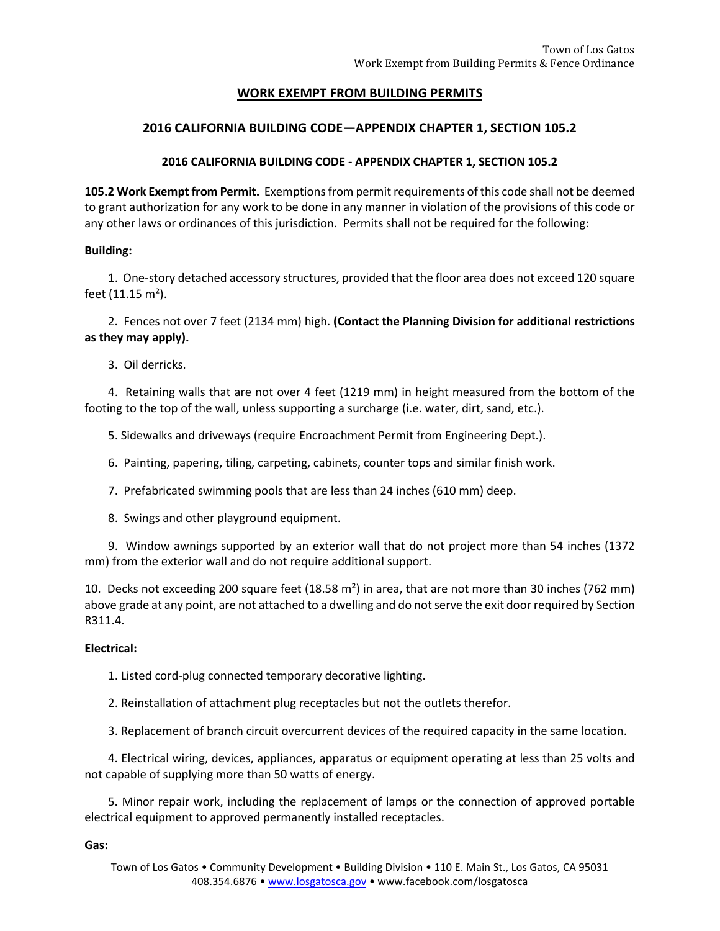## **WORK EXEMPT FROM BUILDING PERMITS**

## **2016 CALIFORNIA BUILDING CODE—APPENDIX CHAPTER 1, SECTION 105.2**

## **2016 CALIFORNIA BUILDING CODE - APPENDIX CHAPTER 1, SECTION 105.2**

**105.2 Work Exempt from Permit.** Exemptions from permit requirements of this code shall not be deemed to grant authorization for any work to be done in any manner in violation of the provisions of this code or any other laws or ordinances of this jurisdiction. Permits shall not be required for the following:

### **Building:**

1. One-story detached accessory structures, provided that the floor area does not exceed 120 square feet (11.15 m²).

2. Fences not over 7 feet (2134 mm) high. **(Contact the Planning Division for additional restrictions as they may apply).**

3. Oil derricks.

4. Retaining walls that are not over 4 feet (1219 mm) in height measured from the bottom of the footing to the top of the wall, unless supporting a surcharge (i.e. water, dirt, sand, etc.).

5. Sidewalks and driveways (require Encroachment Permit from Engineering Dept.).

6. Painting, papering, tiling, carpeting, cabinets, counter tops and similar finish work.

7. Prefabricated swimming pools that are less than 24 inches (610 mm) deep.

8. Swings and other playground equipment.

9. Window awnings supported by an exterior wall that do not project more than 54 inches (1372 mm) from the exterior wall and do not require additional support.

10. Decks not exceeding 200 square feet  $(18.58 \text{ m}^2)$  in area, that are not more than 30 inches (762 mm) above grade at any point, are not attached to a dwelling and do not serve the exit door required by Section R311.4.

#### **Electrical:**

1. Listed cord-plug connected temporary decorative lighting.

2. Reinstallation of attachment plug receptacles but not the outlets therefor.

3. Replacement of branch circuit overcurrent devices of the required capacity in the same location.

4. Electrical wiring, devices, appliances, apparatus or equipment operating at less than 25 volts and not capable of supplying more than 50 watts of energy.

5. Minor repair work, including the replacement of lamps or the connection of approved portable electrical equipment to approved permanently installed receptacles.

**Gas:**